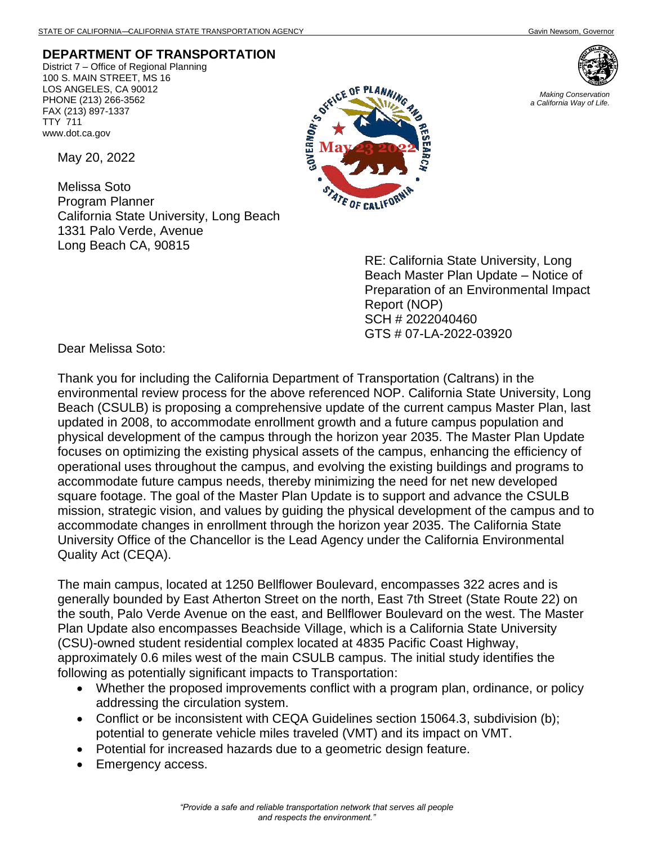## **DEPARTMENT OF TRANSPORTATION**

District 7 – Office of Regional Planning 100 S. MAIN STREET, MS 16 LOS ANGELES, CA 90012 PHONE (213) 266-3562 FAX (213) 897-1337 TTY 711 www.dot.ca.gov

May 20, 2022

Melissa Soto Program Planner California State University, Long Beach 1331 Palo Verde, Avenue Long Beach CA, 90815



*Making Conservation a California Way of Life.*



RE: California State University, Long Beach Master Plan Update – Notice of Preparation of an Environmental Impact Report (NOP) SCH # 2022040460 GTS # 07-LA-2022-03920

Dear Melissa Soto:

Thank you for including the California Department of Transportation (Caltrans) in the environmental review process for the above referenced NOP. California State University, Long Beach (CSULB) is proposing a comprehensive update of the current campus Master Plan, last updated in 2008, to accommodate enrollment growth and a future campus population and physical development of the campus through the horizon year 2035. The Master Plan Update focuses on optimizing the existing physical assets of the campus, enhancing the efficiency of operational uses throughout the campus, and evolving the existing buildings and programs to accommodate future campus needs, thereby minimizing the need for net new developed square footage. The goal of the Master Plan Update is to support and advance the CSULB mission, strategic vision, and values by guiding the physical development of the campus and to accommodate changes in enrollment through the horizon year 2035. The California State University Office of the Chancellor is the Lead Agency under the California Environmental Quality Act (CEQA).

The main campus, located at 1250 Bellflower Boulevard, encompasses 322 acres and is generally bounded by East Atherton Street on the north, East 7th Street (State Route 22) on the south, Palo Verde Avenue on the east, and Bellflower Boulevard on the west. The Master Plan Update also encompasses Beachside Village, which is a California State University (CSU)-owned student residential complex located at 4835 Pacific Coast Highway, approximately 0.6 miles west of the main CSULB campus. The initial study identifies the following as potentially significant impacts to Transportation:

- Whether the proposed improvements conflict with a program plan, ordinance, or policy addressing the circulation system.
- Conflict or be inconsistent with CEQA Guidelines section 15064.3, subdivision (b); potential to generate vehicle miles traveled (VMT) and its impact on VMT.
- Potential for increased hazards due to a geometric design feature.
- Emergency access.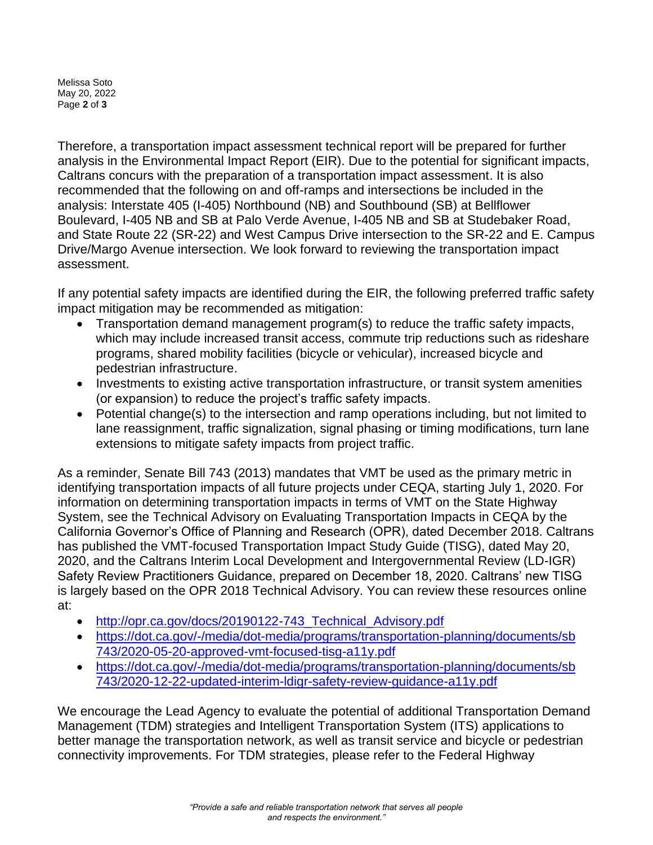Melissa Soto May 20, 2022 Page **2** of **3**

Therefore, a transportation impact assessment technical report will be prepared for further analysis in the Environmental Impact Report (EIR). Due to the potential for significant impacts, Caltrans concurs with the preparation of a transportation impact assessment. It is also recommended that the following on and off-ramps and intersections be included in the analysis: Interstate 405 (I-405) Northbound (NB) and Southbound (SB) at Bellflower Boulevard, I-405 NB and SB at Palo Verde Avenue, I-405 NB and SB at Studebaker Road, and State Route 22 (SR-22) and West Campus Drive intersection to the SR-22 and E. Campus Drive/Margo Avenue intersection. We look forward to reviewing the transportation impact assessment.

If any potential safety impacts are identified during the EIR, the following preferred traffic safety impact mitigation may be recommended as mitigation:

- Transportation demand management program(s) to reduce the traffic safety impacts, which may include increased transit access, commute trip reductions such as rideshare programs, shared mobility facilities (bicycle or vehicular), increased bicycle and pedestrian infrastructure.
- Investments to existing active transportation infrastructure, or transit system amenities (or expansion) to reduce the project's traffic safety impacts.
- Potential change(s) to the intersection and ramp operations including, but not limited to lane reassignment, traffic signalization, signal phasing or timing modifications, turn lane extensions to mitigate safety impacts from project traffic.

As a reminder, Senate Bill 743 (2013) mandates that VMT be used as the primary metric in identifying transportation impacts of all future projects under CEQA, starting July 1, 2020. For information on determining transportation impacts in terms of VMT on the State Highway System, see the Technical Advisory on Evaluating Transportation Impacts in CEQA by the California Governor's Office of Planning and Research (OPR), dated December 2018. Caltrans has published the VMT-focused Transportation Impact Study Guide (TISG), dated May 20, 2020, and the Caltrans Interim Local Development and Intergovernmental Review (LD-IGR) Safety Review Practitioners Guidance, prepared on December 18, 2020. Caltrans' new TISG is largely based on the OPR 2018 Technical Advisory. You can review these resources online at:

- [http://opr.ca.gov/docs/20190122-743\\_Technical\\_Advisory.pdf](http://opr.ca.gov/docs/20190122-743_Technical_Advisory.pdf)
- [https://dot.ca.gov/-/media/dot-media/programs/transportation-planning/documents/sb](https://dot.ca.gov/-/media/dot-media/programs/transportation-planning/documents/sb%20743/2020-05-20-approved-vmt-focused-tisg-a11y.pdf)  [743/2020-05-20-approved-vmt-focused-tisg-a11y.pdf](https://dot.ca.gov/-/media/dot-media/programs/transportation-planning/documents/sb%20743/2020-05-20-approved-vmt-focused-tisg-a11y.pdf)
- [https://dot.ca.gov/-/media/dot-media/programs/transportation-planning/documents/sb](https://dot.ca.gov/-/media/dot-media/programs/transportation-planning/documents/sb%20743/2020-12-22-updated-interim-ldigr-safety-review-guidance-a11y.pdf)  [743/2020-12-22-updated-interim-ldigr-safety-review-guidance-a11y.pdf](https://dot.ca.gov/-/media/dot-media/programs/transportation-planning/documents/sb%20743/2020-12-22-updated-interim-ldigr-safety-review-guidance-a11y.pdf)

We encourage the Lead Agency to evaluate the potential of additional Transportation Demand Management (TDM) strategies and Intelligent Transportation System (ITS) applications to better manage the transportation network, as well as transit service and bicycle or pedestrian connectivity improvements. For TDM strategies, please refer to the Federal Highway